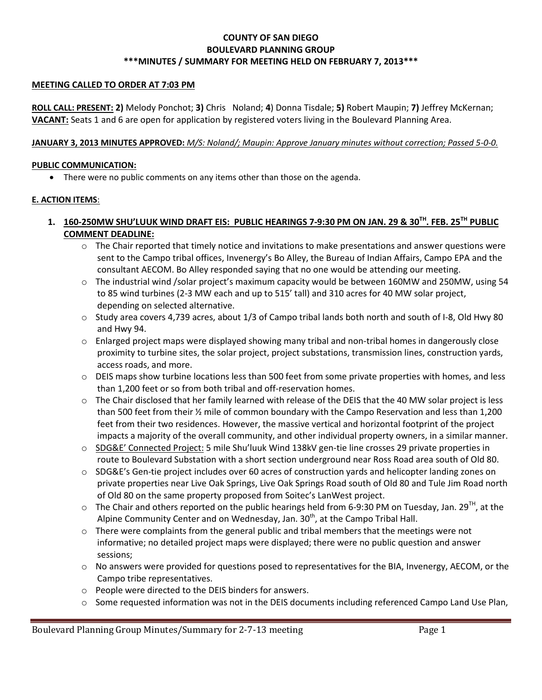### **COUNTY OF SAN DIEGO BOULEVARD PLANNING GROUP \*\*\*MINUTES / SUMMARY FOR MEETING HELD ON FEBRUARY 7, 2013\*\*\***

#### **MEETING CALLED TO ORDER AT 7:03 PM**

**ROLL CALL: PRESENT: 2)** Melody Ponchot; **3)** Chris Noland; **4**) Donna Tisdale; **5)** Robert Maupin; **7)** Jeffrey McKernan; **VACANT:** Seats 1 and 6 are open for application by registered voters living in the Boulevard Planning Area.

#### **JANUARY 3, 2013 MINUTES APPROVED:** *M/S: Noland/; Maupin: Approve January minutes without correction; Passed 5-0-0.*

#### **PUBLIC COMMUNICATION:**

There were no public comments on any items other than those on the agenda.

#### **E. ACTION ITEMS**:

- **1. 160-250MW SHU'LUUK WIND DRAFT EIS: PUBLIC HEARINGS 7-9:30 PM ON JAN. 29 & 30TH. FEB. 25TH PUBLIC COMMENT DEADLINE:**
	- $\circ$  The Chair reported that timely notice and invitations to make presentations and answer questions were sent to the Campo tribal offices, Invenergy's Bo Alley, the Bureau of Indian Affairs, Campo EPA and the consultant AECOM. Bo Alley responded saying that no one would be attending our meeting.
	- $\circ$  The industrial wind /solar project's maximum capacity would be between 160MW and 250MW, using 54 to 85 wind turbines (2-3 MW each and up to 515' tall) and 310 acres for 40 MW solar project, depending on selected alternative.
	- $\circ$  Study area covers 4,739 acres, about 1/3 of Campo tribal lands both north and south of I-8, Old Hwy 80 and Hwy 94.
	- $\circ$  Enlarged project maps were displayed showing many tribal and non-tribal homes in dangerously close proximity to turbine sites, the solar project, project substations, transmission lines, construction yards, access roads, and more.
	- $\circ$  DEIS maps show turbine locations less than 500 feet from some private properties with homes, and less than 1,200 feet or so from both tribal and off-reservation homes.
	- $\circ$  The Chair disclosed that her family learned with release of the DEIS that the 40 MW solar project is less than 500 feet from their ½ mile of common boundary with the Campo Reservation and less than 1,200 feet from their two residences. However, the massive vertical and horizontal footprint of the project impacts a majority of the overall community, and other individual property owners, in a similar manner.
	- o SDG&E' Connected Project: 5 mile Shu'luuk Wind 138kV gen-tie line crosses 29 private properties in route to Boulevard Substation with a short section underground near Ross Road area south of Old 80.
	- o SDG&E's Gen-tie project includes over 60 acres of construction yards and helicopter landing zones on private properties near Live Oak Springs, Live Oak Springs Road south of Old 80 and Tule Jim Road north of Old 80 on the same property proposed from Soitec's LanWest project.
	- $\circ$  The Chair and others reported on the public hearings held from 6-9:30 PM on Tuesday, Jan. 29<sup>TH</sup>, at the Alpine Community Center and on Wednesday, Jan. 30<sup>th</sup>, at the Campo Tribal Hall.
	- $\circ$  There were complaints from the general public and tribal members that the meetings were not informative; no detailed project maps were displayed; there were no public question and answer sessions;
	- $\circ$  No answers were provided for questions posed to representatives for the BIA, Invenergy, AECOM, or the Campo tribe representatives.
	- o People were directed to the DEIS binders for answers.
	- o Some requested information was not in the DEIS documents including referenced Campo Land Use Plan,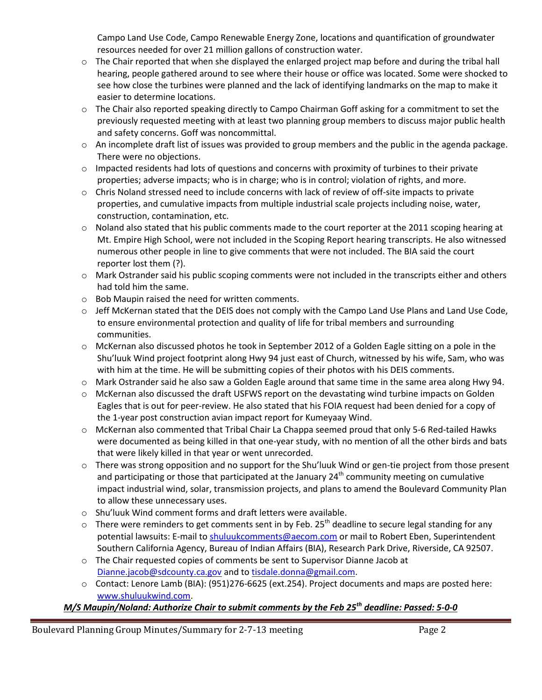Campo Land Use Code, Campo Renewable Energy Zone, locations and quantification of groundwater resources needed for over 21 million gallons of construction water.

- o The Chair reported that when she displayed the enlarged project map before and during the tribal hall hearing, people gathered around to see where their house or office was located. Some were shocked to see how close the turbines were planned and the lack of identifying landmarks on the map to make it easier to determine locations.
- $\circ$  The Chair also reported speaking directly to Campo Chairman Goff asking for a commitment to set the previously requested meeting with at least two planning group members to discuss major public health and safety concerns. Goff was noncommittal.
- o An incomplete draft list of issues was provided to group members and the public in the agenda package. There were no objections.
- o Impacted residents had lots of questions and concerns with proximity of turbines to their private properties; adverse impacts; who is in charge; who is in control; violation of rights, and more.
- o Chris Noland stressed need to include concerns with lack of review of off-site impacts to private properties, and cumulative impacts from multiple industrial scale projects including noise, water, construction, contamination, etc.
- o Noland also stated that his public comments made to the court reporter at the 2011 scoping hearing at Mt. Empire High School, were not included in the Scoping Report hearing transcripts. He also witnessed numerous other people in line to give comments that were not included. The BIA said the court reporter lost them (?).
- o Mark Ostrander said his public scoping comments were not included in the transcripts either and others had told him the same.
- o Bob Maupin raised the need for written comments.
- o Jeff McKernan stated that the DEIS does not comply with the Campo Land Use Plans and Land Use Code, to ensure environmental protection and quality of life for tribal members and surrounding communities.
- $\circ$  McKernan also discussed photos he took in September 2012 of a Golden Eagle sitting on a pole in the Shu'luuk Wind project footprint along Hwy 94 just east of Church, witnessed by his wife, Sam, who was with him at the time. He will be submitting copies of their photos with his DEIS comments.
- $\circ$  Mark Ostrander said he also saw a Golden Eagle around that same time in the same area along Hwy 94.
- o McKernan also discussed the draft USFWS report on the devastating wind turbine impacts on Golden Eagles that is out for peer-review. He also stated that his FOIA request had been denied for a copy of the 1-year post construction avian impact report for Kumeyaay Wind.
- o McKernan also commented that Tribal Chair La Chappa seemed proud that only 5-6 Red-tailed Hawks were documented as being killed in that one-year study, with no mention of all the other birds and bats that were likely killed in that year or went unrecorded.
- $\circ$  There was strong opposition and no support for the Shu'luuk Wind or gen-tie project from those present and participating or those that participated at the January  $24<sup>th</sup>$  community meeting on cumulative impact industrial wind, solar, transmission projects, and plans to amend the Boulevard Community Plan to allow these unnecessary uses.
- o Shu'luuk Wind comment forms and draft letters were available.
- $\circ$  There were reminders to get comments sent in by Feb. 25<sup>th</sup> deadline to secure legal standing for any potential lawsuits: E-mail to shuluukcomments@aecom.com or mail to Robert Eben, Superintendent Southern California Agency, Bureau of Indian Affairs (BIA), Research Park Drive, Riverside, CA 92507.
- o The Chair requested copies of comments be sent to Supervisor Dianne Jacob at Dianne.jacob@sdcounty.ca.gov and to tisdale.donna@gmail.com.
- o Contact: Lenore Lamb (BIA): (951)276-6625 (ext.254). Project documents and maps are posted here: www.shuluukwind.com.

# *M/S Maupin/Noland: Authorize Chair to submit comments by the Feb 25th deadline: Passed: 5-0-0*

Boulevard Planning Group Minutes/Summary for 2-7-13 meeting Page 2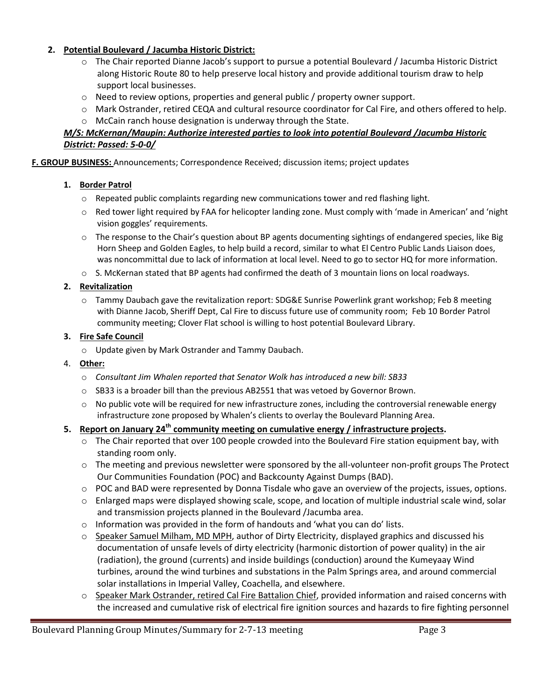### **2. Potential Boulevard / Jacumba Historic District:**

- o The Chair reported Dianne Jacob's support to pursue a potential Boulevard / Jacumba Historic District along Historic Route 80 to help preserve local history and provide additional tourism draw to help support local businesses.
- o Need to review options, properties and general public / property owner support.
- o Mark Ostrander, retired CEQA and cultural resource coordinator for Cal Fire, and others offered to help. o McCain ranch house designation is underway through the State.

# *M/S: McKernan/Maupin: Authorize interested parties to look into potential Boulevard /Jacumba Historic District: Passed: 5-0-0/*

**F. GROUP BUSINESS:** Announcements; Correspondence Received; discussion items; project updates

### **1. Border Patrol**

- $\circ$  Repeated public complaints regarding new communications tower and red flashing light.
- $\circ$  Red tower light required by FAA for helicopter landing zone. Must comply with 'made in American' and 'night vision goggles' requirements.
- o The response to the Chair's question about BP agents documenting sightings of endangered species, like Big Horn Sheep and Golden Eagles, to help build a record, similar to what El Centro Public Lands Liaison does, was noncommittal due to lack of information at local level. Need to go to sector HQ for more information.
- $\circ$  S. McKernan stated that BP agents had confirmed the death of 3 mountain lions on local roadways.

### **2. Revitalization**

o Tammy Daubach gave the revitalization report: SDG&E Sunrise Powerlink grant workshop; Feb 8 meeting with Dianne Jacob, Sheriff Dept, Cal Fire to discuss future use of community room; Feb 10 Border Patrol community meeting; Clover Flat school is willing to host potential Boulevard Library.

### **3. Fire Safe Council**

o Update given by Mark Ostrander and Tammy Daubach.

### 4. **Other:**

- o *Consultant Jim Whalen reported that Senator Wolk has introduced a new bill: SB33*
- $\circ$  SB33 is a broader bill than the previous AB2551 that was vetoed by Governor Brown.
- o No public vote will be required for new infrastructure zones, including the controversial renewable energy infrastructure zone proposed by Whalen's clients to overlay the Boulevard Planning Area.

### **5. Report on January 24th community meeting on cumulative energy / infrastructure projects.**

- $\circ$  The Chair reported that over 100 people crowded into the Boulevard Fire station equipment bay, with standing room only.
- $\circ$  The meeting and previous newsletter were sponsored by the all-volunteer non-profit groups The Protect Our Communities Foundation (POC) and Backcounty Against Dumps (BAD).
- o POC and BAD were represented by Donna Tisdale who gave an overview of the projects, issues, options.
- o Enlarged maps were displayed showing scale, scope, and location of multiple industrial scale wind, solar and transmission projects planned in the Boulevard /Jacumba area.
- $\circ$  Information was provided in the form of handouts and 'what you can do' lists.
- o Speaker Samuel Milham, MD MPH, author of Dirty Electricity, displayed graphics and discussed his documentation of unsafe levels of dirty electricity (harmonic distortion of power quality) in the air (radiation), the ground (currents) and inside buildings (conduction) around the Kumeyaay Wind turbines, around the wind turbines and substations in the Palm Springs area, and around commercial solar installations in Imperial Valley, Coachella, and elsewhere.
- Speaker Mark Ostrander, retired Cal Fire Battalion Chief, provided information and raised concerns with the increased and cumulative risk of electrical fire ignition sources and hazards to fire fighting personnel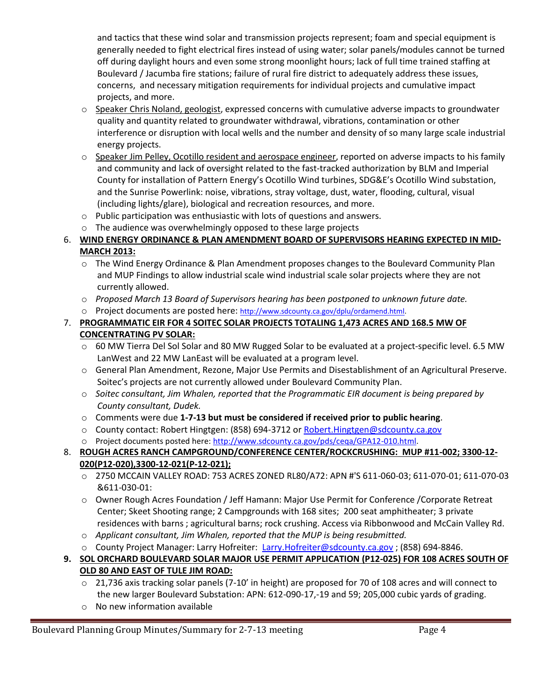and tactics that these wind solar and transmission projects represent; foam and special equipment is generally needed to fight electrical fires instead of using water; solar panels/modules cannot be turned off during daylight hours and even some strong moonlight hours; lack of full time trained staffing at Boulevard / Jacumba fire stations; failure of rural fire district to adequately address these issues, concerns, and necessary mitigation requirements for individual projects and cumulative impact projects, and more.

- $\circ$  Speaker Chris Noland, geologist, expressed concerns with cumulative adverse impacts to groundwater quality and quantity related to groundwater withdrawal, vibrations, contamination or other interference or disruption with local wells and the number and density of so many large scale industrial energy projects.
- $\circ$  Speaker Jim Pelley, Ocotillo resident and aerospace engineer, reported on adverse impacts to his family and community and lack of oversight related to the fast-tracked authorization by BLM and Imperial County for installation of Pattern Energy's Ocotillo Wind turbines, SDG&E's Ocotillo Wind substation, and the Sunrise Powerlink: noise, vibrations, stray voltage, dust, water, flooding, cultural, visual (including lights/glare), biological and recreation resources, and more.
- o Public participation was enthusiastic with lots of questions and answers.
- o The audience was overwhelmingly opposed to these large projects

# 6. **WIND ENERGY ORDINANCE & PLAN AMENDMENT BOARD OF SUPERVISORS HEARING EXPECTED IN MID-MARCH 2013:**

- $\circ$  The Wind Energy Ordinance & Plan Amendment proposes changes to the Boulevard Community Plan and MUP Findings to allow industrial scale wind industrial scale solar projects where they are not currently allowed.
- o *Proposed March 13 Board of Supervisors hearing has been postponed to unknown future date.*
- o Project documents are posted here: http://www.sdcounty.ca.gov/dplu/ordamend.html.

# 7. **PROGRAMMATIC EIR FOR 4 SOITEC SOLAR PROJECTS TOTALING 1,473 ACRES AND 168.5 MW OF CONCENTRATING PV SOLAR:**

- $\circ$  60 MW Tierra Del Sol Solar and 80 MW Rugged Solar to be evaluated at a project-specific level. 6.5 MW LanWest and 22 MW LanEast will be evaluated at a program level.
- o General Plan Amendment, Rezone, Major Use Permits and Disestablishment of an Agricultural Preserve. Soitec's projects are not currently allowed under Boulevard Community Plan.
- o *Soitec consultant, Jim Whalen, reported that the Programmatic EIR document is being prepared by County consultant, Dudek.*
- o Comments were due **1-7-13 but must be considered if received prior to public hearing**.
- o County contact: Robert Hingtgen: (858) 694-3712 or Robert.Hingtgen@sdcounty.ca.gov
- o Project documents posted here: http://www.sdcounty.ca.gov/pds/ceqa/GPA12-010.html.

# 8. **ROUGH ACRES RANCH CAMPGROUND/CONFERENCE CENTER/ROCKCRUSHING: MUP #11-002; 3300-12- 020(P12-020),3300-12-021(P-12-021);**

- o 2750 MCCAIN VALLEY ROAD: 753 ACRES ZONED RL80/A72: APN #'S 611-060-03; 611-070-01; 611-070-03 &611-030-01:
- o Owner Rough Acres Foundation / Jeff Hamann: Major Use Permit for Conference /Corporate Retreat Center; Skeet Shooting range; 2 Campgrounds with 168 sites; 200 seat amphitheater; 3 private residences with barns ; agricultural barns; rock crushing. Access via Ribbonwood and McCain Valley Rd.
- o *Applicant consultant, Jim Whalen, reported that the MUP is being resubmitted.*
- o County Project Manager: Larry Hofreiter: Larry.Hofreiter@sdcounty.ca.gov ; (858) 694-8846.

# **9. SOL ORCHARD BOULEVARD SOLAR MAJOR USE PERMIT APPLICATION (P12-025) FOR 108 ACRES SOUTH OF OLD 80 AND EAST OF TULE JIM ROAD:**

- o 21,736 axis tracking solar panels (7-10' in height) are proposed for 70 of 108 acres and will connect to the new larger Boulevard Substation: APN: 612-090-17,-19 and 59; 205,000 cubic yards of grading.
- o No new information available